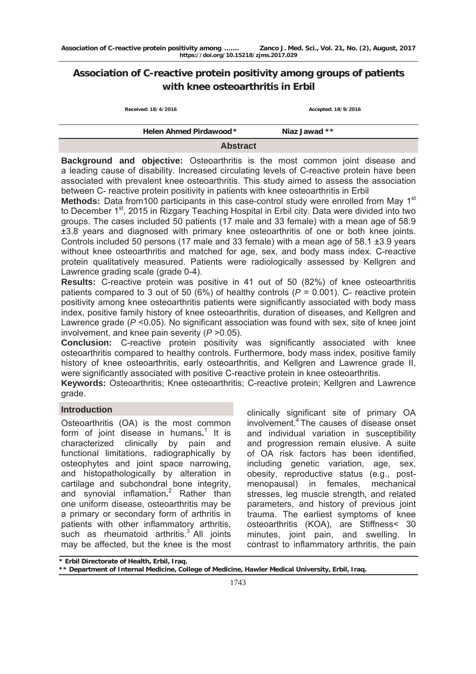# **Association of C-reactive protein positivity among groups of patients with knee osteoarthritis in Erbil**

| Received: 18/4/2016            | Accepted: 18/9/2016 |
|--------------------------------|---------------------|
| <b>Helen Ahmed Pirdawood *</b> | Niaz Jawad **       |

#### **Abstract**

**Background and objective:** Osteoarthritis is the most common joint disease and a leading cause of disability. Increased circulating levels of C-reactive protein have been associated with prevalent knee osteoarthritis. This study aimed to assess the association between C- reactive protein positivity in patients with knee osteoarthritis in Erbil

**Methods:** Data from 100 participants in this case-control study were enrolled from May 1<sup>st</sup> to December 1<sup>st</sup>, 2015 in Rizgary Teaching Hospital in Erbil city. Data were divided into two groups. The cases included 50 patients (17 male and 33 female) with a mean age of 58.9 ±3.8 years and diagnosed with primary knee osteoarthritis of one or both knee joints. Controls included 50 persons (17 male and 33 female) with a mean age of 58.1 ±3.9 years without knee osteoarthritis and matched for age, sex, and body mass index. C-reactive protein qualitatively measured. Patients were radiologically assessed by Kellgren and Lawrence grading scale (grade 0-4).

**Results:** C-reactive protein was positive in 41 out of 50 (82%) of knee osteoarthritis patients compared to 3 out of 50 (6%) of healthy controls (*P* = 0.001). C- reactive protein positivity among knee osteoarthritis patients were significantly associated with body mass index, positive family history of knee osteoarthritis, duration of diseases, and Kellgren and Lawrence grade ( $P \le 0.05$ ). No significant association was found with sex, site of knee joint involvement, and knee pain severity (*P* >0.05).

**Conclusion:** C-reactive protein positivity was significantly associated with knee osteoarthritis compared to healthy controls. Furthermore, body mass index, positive family history of knee osteoarthritis, early osteoarthritis, and Kellgren and Lawrence grade II, were significantly associated with positive C-reactive protein in knee osteoarthritis.

**Keywords:** Osteoarthritis; Knee osteoarthritis; C-reactive protein; Kellgren and Lawrence grade.

# **Introduction**

Osteoarthritis (OA) is the most common form of joint disease in humans.<sup>1</sup> It is characterized clinically by pain and functional limitations, radiographically by osteophytes and joint space narrowing, and histopathologically by alteration in cartilage and subchondral bone integrity, and synovial inflamation**.** 2 Rather than one uniform disease, osteoarthritis may be a primary or secondary form of arthritis in patients with other inflammatory arthritis, such as rheumatoid arthritis. $3^{\circ}$  All joints may be affected, but the knee is the most

clinically significant site of primary OA involvement.4 The causes of disease onset and individual variation in susceptibility and progression remain elusive. A suite of OA risk factors has been identified, including genetic variation, age, sex, obesity, reproductive status (e.g., postmenopausal) in females, mechanical stresses, leg muscle strength, and related parameters, and history of previous joint trauma. The earliest symptoms of knee osteoarthritis (KOA), are Stiffness< 30 minutes, joint pain, and swelling. In contrast to inflammatory arthritis, the pain

**\* Erbil Directorate of Health, Erbil, Iraq.** 

**<sup>\*\*</sup> Department of Internal Medicine, College of Medicine, Hawler Medical University, Erbil, Iraq.**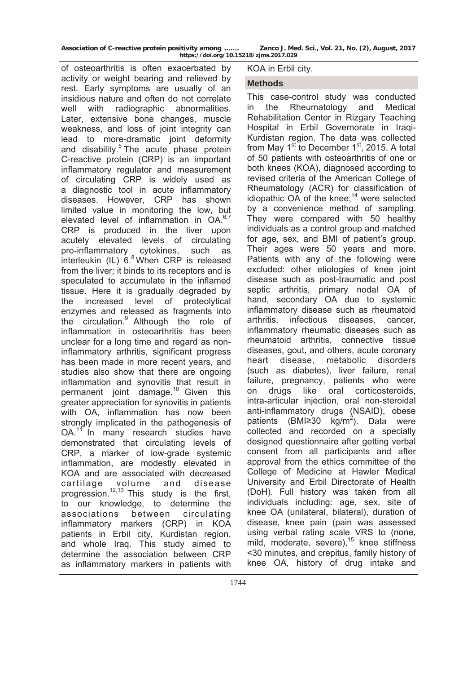| Association of C-reactive protein positivity among | Zanco J. Med. Sci., Vol. 21, No. (2), August, 2017 |  |  |  |
|----------------------------------------------------|----------------------------------------------------|--|--|--|
| https://doi.org/10.15218/zjms.2017.029             |                                                    |  |  |  |

of osteoarthritis is often exacerbated by activity or weight bearing and relieved by rest. Early symptoms are usually of an insidious nature and often do not correlate well with radiographic abnormalities. Later, extensive bone changes, muscle weakness, and loss of joint integrity can lead to more-dramatic joint deformity and disability.<sup>5</sup> The acute phase protein C-reactive protein (CRP) is an important inflammatory regulator and measurement of circulating CRP is widely used as a diagnostic tool in acute inflammatory diseases. However, CRP has shown limited value in monitoring the low, but elevated level of inflammation in  $OA^{6,7}$ CRP is produced in the liver upon acutely elevated levels of circulating pro-inflammatory cytokines, such as interleukin  $(IL) 6<sup>8</sup>$  When CRP is released from the liver; it binds to its receptors and is speculated to accumulate in the inflamed tissue. Here it is gradually degraded by the increased level of proteolytical enzymes and released as fragments into the circulation.9 Although the role of inflammation in osteoarthritis has been unclear for a long time and regard as noninflammatory arthritis, significant progress has been made in more recent years, and studies also show that there are ongoing inflammation and synovitis that result in permanent joint damage.<sup>10</sup> Given this greater appreciation for synovitis in patients with OA, inflammation has now been strongly implicated in the pathogenesis of OA.<sup>11</sup> In many research studies have demonstrated that circulating levels of CRP, a marker of low-grade systemic inflammation, are modestly elevated in KOA and are associated with decreased cartilage volume and disease progression.<sup>12,13</sup> This study is the first, to our knowledge, to determine the associations between circulating inflammatory markers (CRP) in KOA patients in Erbil city, Kurdistan region, and whole Iraq. This study aimed to determine the association between CRP as inflammatory markers in patients with

#### KOA in Erbil city.

## **Methods**

This case-control study was conducted in the Rheumatology and Medical Rehabilitation Center in Rizgary Teaching Hospital in Erbil Governorate in Iraqi-Kurdistan region. The data was collected from May  $1<sup>st</sup>$  to December  $1<sup>st</sup>$ , 2015. A total of 50 patients with osteoarthritis of one or both knees (KOA), diagnosed according to revised criteria of the American College of Rheumatology (ACR) for classification of idiopathic  $\overline{OA}$  of the knee,<sup>14</sup> were selected by a convenience method of sampling. They were compared with 50 healthy individuals as a control group and matched for age, sex, and BMI of patient's group. Their ages were 50 years and more. Patients with any of the following were excluded: other etiologies of knee joint disease such as post-traumatic and post septic arthritis, primary nodal OA of hand, secondary OA due to systemic inflammatory disease such as rheumatoid arthritis, infectious diseases, cancer, inflammatory rheumatic diseases such as rheumatoid arthritis, connective tissue diseases, gout, and others, acute coronary heart disease, metabolic disorders (such as diabetes), liver failure, renal failure, pregnancy, patients who were on drugs like oral corticosteroids, intra-articular injection, oral non-steroidal anti-inflammatory drugs (NSAID), obese patients (BMI≥30 kg/m<sup>2</sup>). Data were collected and recorded on a specially designed questionnaire after getting verbal consent from all participants and after approval from the ethics committee of the College of Medicine at Hawler Medical University and Erbil Directorate of Health (DoH). Full history was taken from all individuals including: age, sex, site of knee OA (unilateral, bilateral), duration of disease, knee pain (pain was assessed using verbal rating scale VRS to (none, mild, moderate, severe),<sup>15</sup> knee stiffness <30 minutes, and crepitus, family history of knee OA, history of drug intake and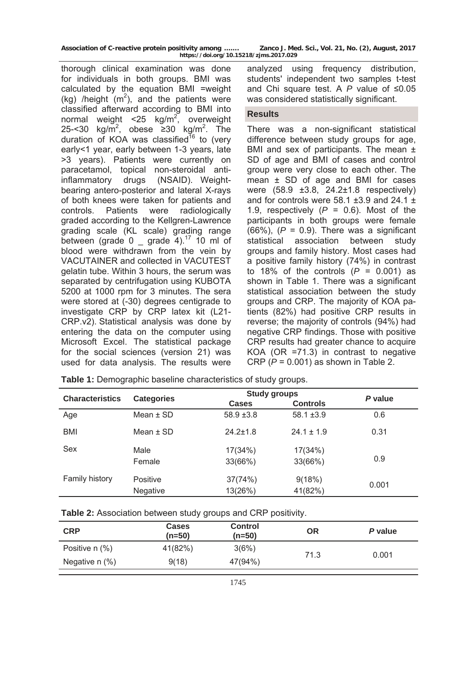| Association of C-reactive protein positivity among | Zanco J. Med. Sci., Vol. 21, No. (2), August, 2017 |
|----------------------------------------------------|----------------------------------------------------|
| https://doi.org/10.15218/zjms.2017.029             |                                                    |

thorough clinical examination was done for individuals in both groups. BMI was calculated by the equation BMI =weight (kg) /height  $(m^2)$ , and the patients were classified afterward according to BMI into normal weight <25  $kg/m^2$ , overweight 25-<30 kg/m<sup>2</sup>, obese  $\geq$ 30 kg/m<sup>2</sup>. The duration of KOA was classified<sup>16</sup> to (very early<1 year, early between 1-3 years, late >3 years). Patients were currently on paracetamol, topical non-steroidal antiinflammatory drugs (NSAID). Weightbearing antero-posterior and lateral X-rays of both knees were taken for patients and controls. Patients were radiologically graded according to the Kellgren-Lawrence grading scale (KL scale) grading range between (grade 0  $\frac{1}{2}$  grade 4).<sup>17</sup> 10 ml of blood were withdrawn from the vein by VACUTAINER and collected in VACUTEST gelatin tube. Within 3 hours, the serum was separated by centrifugation using KUBOTA 5200 at 1000 rpm for 3 minutes. The sera were stored at (-30) degrees centigrade to investigate CRP by CRP latex kit (L21- CRP.v2). Statistical analysis was done by entering the data on the computer using Microsoft Excel. The statistical package for the social sciences (version 21) was used for data analysis. The results were

analyzed using frequency distribution, students' independent two samples t-test and Chi square test. A *P* value of ≤0.05 was considered statistically significant.

#### **Results**

There was a non-significant statistical difference between study groups for age, BMI and sex of participants. The mean  $\pm$ SD of age and BMI of cases and control group were very close to each other. The mean  $\pm$  SD of age and BMI for cases were (58.9 ±3.8, 24.2±1.8 respectively) and for controls were  $58.1 \pm 3.9$  and 24.1  $\pm$ 1.9, respectively  $(P = 0.6)$ . Most of the participants in both groups were female (66%), (*P* = 0.9). There was a significant statistical association between study groups and family history. Most cases had a positive family history (74%) in contrast to 18% of the controls  $(P = 0.001)$  as shown in Table 1. There was a significant statistical association between the study groups and CRP. The majority of KOA patients (82%) had positive CRP results in reverse; the majority of controls (94%) had negative CRP findings. Those with positive CRP results had greater chance to acquire KOA (OR =71.3) in contrast to negative CRP (*P* = 0.001) as shown in Table 2.

| <b>Characteristics</b> |                             | <b>Study groups</b> |                    | P value |  |
|------------------------|-----------------------------|---------------------|--------------------|---------|--|
|                        | <b>Categories</b>           | <b>Cases</b>        | <b>Controls</b>    |         |  |
| Age                    | Mean $\pm$ SD               | $58.9 + 3.8$        | $58.1 \pm 3.9$     | 0.6     |  |
| <b>BMI</b>             | Mean $\pm$ SD               | $24.2 \pm 1.8$      | $24.1 \pm 1.9$     | 0.31    |  |
| Sex                    | Male<br>Female              | 17(34%)<br>33(66%)  | 17(34%)<br>33(66%) | 0.9     |  |
| Family history         | <b>Positive</b><br>Negative | 37(74%)<br>13(26%)  | 9(18%)<br>41(82%)  | 0.001   |  |
|                        |                             |                     |                    |         |  |

**Table 1:** Demographic baseline characteristics of study groups.

| Table 2: Association between study groups and CRP positivity. |  |  |
|---------------------------------------------------------------|--|--|
|---------------------------------------------------------------|--|--|

| <b>Cases</b><br>(n=50) | <b>Control</b><br>(n=50) | <b>OR</b> | P value |  |
|------------------------|--------------------------|-----------|---------|--|
| 41(82%)                | 3(6%)                    |           |         |  |
| 9(18)                  | 47(94%)                  |           | 0.001   |  |
|                        |                          |           | 71.3    |  |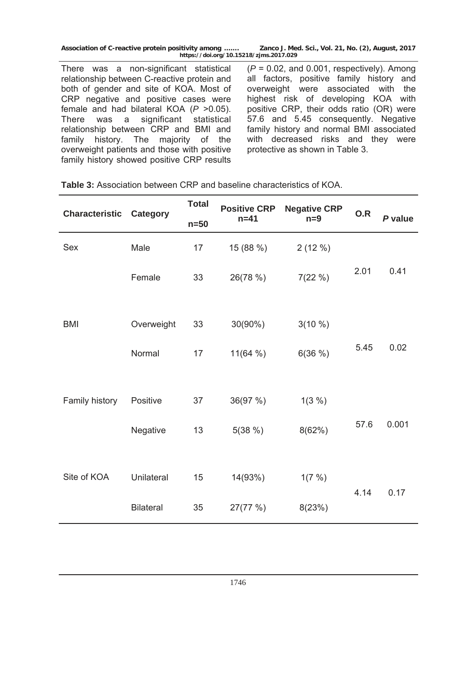There was a non-significant statistical relationship between C-reactive protein and both of gender and site of KOA. Most of CRP negative and positive cases were female and had bilateral KOA (*P* >0.05). There was a significant statistical relationship between CRP and BMI and family history. The majority of the overweight patients and those with positive family history showed positive CRP results

(*P* = 0.02, and 0.001, respectively). Among all factors, positive family history and overweight were associated with the highest risk of developing KOA with positive CRP, their odds ratio (OR) were 57.6 and 5.45 consequently. Negative family history and normal BMI associated with decreased risks and they were protective as shown in Table 3.

| <b>Characteristic</b> | <b>Category</b>  | <b>Total</b> | <b>Positive CRP</b> | <b>Negative CRP</b> | O.R  |         |  |
|-----------------------|------------------|--------------|---------------------|---------------------|------|---------|--|
|                       |                  | $n=50$       | $n = 41$            | $n=9$               |      | P value |  |
| Sex                   | Male             | 17           | 15 (88 %)           | 2(12%)              |      |         |  |
|                       | Female           | 33           | 26(78 %)            | 7(22%)              | 2.01 | 0.41    |  |
|                       |                  |              |                     |                     |      |         |  |
| <b>BMI</b>            | Overweight       | 33           | 30(90%)             | $3(10\%)$           |      |         |  |
|                       | Normal           | 17           | 11(64%)             | 6(36%)              | 5.45 | 0.02    |  |
|                       |                  |              |                     |                     |      |         |  |
| Family history        | Positive         | 37           | 36(97 %)            | $1(3\%)$            |      |         |  |
|                       | Negative         | 13           | 5(38%)              | 8(62%)              | 57.6 | 0.001   |  |
|                       |                  |              |                     |                     |      |         |  |
| Site of KOA           | Unilateral       | 15           | 14(93%)             | 1(7%)               |      |         |  |
|                       | <b>Bilateral</b> | 35           | 27(77 %)            | 8(23%)              | 4.14 | 0.17    |  |
|                       |                  |              |                     |                     |      |         |  |

**Table 3:** Association between CRP and baseline characteristics of KOA.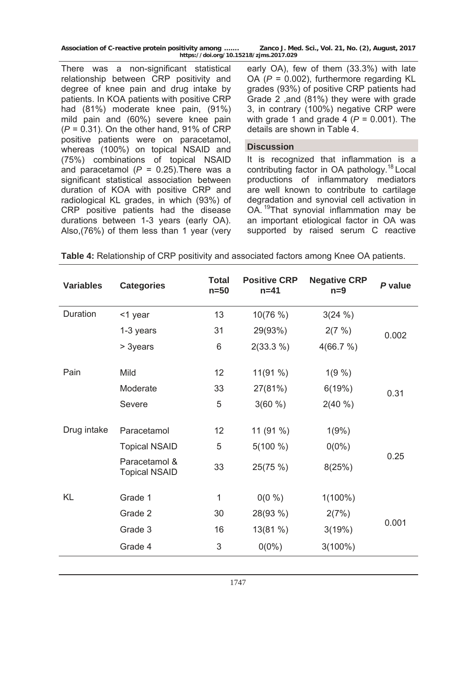There was a non-significant statistical relationship between CRP positivity and degree of knee pain and drug intake by patients. In KOA patients with positive CRP had (81%) moderate knee pain, (91%) mild pain and (60%) severe knee pain (*P* = 0.31). On the other hand, 91% of CRP positive patients were on paracetamol, whereas (100%) on topical NSAID and (75%) combinations of topical NSAID and paracetamol  $(P = 0.25)$ . There was a significant statistical association between duration of KOA with positive CRP and radiological KL grades, in which (93%) of CRP positive patients had the disease durations between 1-3 years (early OA). Also,(76%) of them less than 1 year (very

early OA), few of them (33.3%) with late OA (*P* = 0.002), furthermore regarding KL grades (93%) of positive CRP patients had Grade 2 ,and (81%) they were with grade 3, in contrary (100%) negative CRP were with grade 1 and grade 4  $(P = 0.001)$ . The details are shown in Table 4.

#### **Discussion**

It is recognized that inflammation is a contributing factor in OA pathology.<sup>18</sup> Local productions of inflammatory mediators are well known to contribute to cartilage degradation and synovial cell activation in OA. 19That synovial inflammation may be an important etiological factor in OA was supported by raised serum C reactive

| <b>Variables</b> | <b>Categories</b>                     | <b>Total</b><br>$n=50$ | <b>Positive CRP</b><br>$n = 41$ | <b>Negative CRP</b><br>$n=9$ | P value |  |
|------------------|---------------------------------------|------------------------|---------------------------------|------------------------------|---------|--|
| Duration         | <1 year                               | 13                     | 10(76%)                         | 3(24%)                       |         |  |
|                  | 1-3 years                             | 31                     | 29(93%)                         | 2(7%)                        | 0.002   |  |
|                  | > 3years                              | 6                      | $2(33.3\%)$                     | 4(66.7%)                     |         |  |
| Pain             | Mild                                  | 12                     | 11(91 %)                        | $1(9\%)$                     |         |  |
|                  | Moderate                              | 33                     | 27(81%)                         | 6(19%)                       | 0.31    |  |
|                  | Severe                                | 5                      | $3(60\%)$                       | $2(40\%)$                    |         |  |
| Drug intake      | Paracetamol                           | 12                     | 11(91%)                         | 1(9%)                        |         |  |
|                  | <b>Topical NSAID</b>                  | 5                      | $5(100\%)$                      | $0(0\%)$                     |         |  |
|                  | Paracetamol &<br><b>Topical NSAID</b> | 33                     | 25(75%)                         | 8(25%)                       | 0.25    |  |
| <b>KL</b>        | Grade 1                               | $\mathbf{1}$           | $0(0\% )$                       | $1(100\%)$                   |         |  |
|                  | Grade 2                               | 30                     | 28(93 %)                        | 2(7%)                        |         |  |
|                  | Grade 3                               | 16                     | 13(81%)                         | 3(19%)                       | 0.001   |  |
|                  | Grade 4                               | 3                      | $0(0\%)$                        | $3(100\%)$                   |         |  |

|  |  |  | Table 4: Relationship of CRP positivity and associated factors among Knee OA patients. |
|--|--|--|----------------------------------------------------------------------------------------|
|--|--|--|----------------------------------------------------------------------------------------|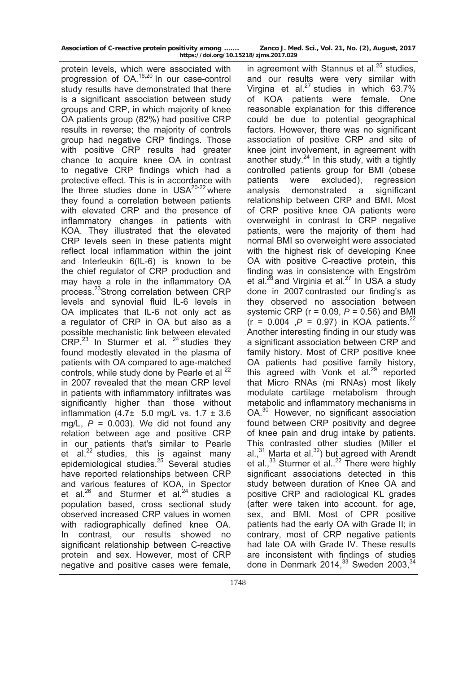| Association of C-reactive protein positivity among | Zanco J. Med. Sci., Vol. 21, No. (2), August, 2017 |  |
|----------------------------------------------------|----------------------------------------------------|--|
| https://doi.org/10.15218/zjms.2017.029             |                                                    |  |

protein levels, which were associated with progression of OA.16,20 In our case-control study results have demonstrated that there is a significant association between study groups and CRP, in which majority of knee OA patients group (82%) had positive CRP results in reverse; the majority of controls group had negative CRP findings. Those with positive CRP results had greater chance to acquire knee OA in contrast to negative CRP findings which had a protective effect. This is in accordance with the three studies done in  $USA^{20-22}$  where they found a correlation between patients with elevated CRP and the presence of inflammatory changes in patients with KOA. They illustrated that the elevated CRP levels seen in these patients might reflect local inflammation within the joint and Interleukin 6(IL-6) is known to be the chief regulator of CRP production and may have a role in the inflammatory OA process.23Strong correlation between CRP levels and synovial fluid IL-6 levels in OA implicates that IL-6 not only act as a regulator of CRP in OA but also as a possible mechanistic link between elevated CRP.<sup>23</sup> In Sturmer et al.  $24$  studies they found modestly elevated in the plasma of patients with OA compared to age-matched controls, while study done by Pearle et al <sup>22</sup> in 2007 revealed that the mean CRP level in patients with inflammatory infiltrates was significantly higher than those without inflammation  $(4.7\pm 5.0 \text{ mg/L vs. } 1.7 \pm 3.6$ mg/L,  $P = 0.003$ ). We did not found any relation between age and positive CRP in our patients that's similar to Pearle et al.<sup>22</sup> studies, this is against many epidemiological studies.<sup>25</sup> Several studies have reported relationships between CRP and various features of KOA, in Spector et al. $^{26}$  and Sturmer et al. $^{24}$  studies a population based, cross sectional study observed increased CRP values in women with radiographically defined knee OA. In contrast, our results showed no significant relationship between C-reactive protein and sex. However, most of CRP negative and positive cases were female,

in agreement with Stannus et al. $25$  studies, and our results were very similar with Virgina et al. $^{27}$  studies in which 63.7% of KOA patients were female. One reasonable explanation for this difference could be due to potential geographical factors. However, there was no significant association of positive CRP and site of knee joint involvement, in agreement with another study.<sup>24</sup> In this study, with a tightly controlled patients group for BMI (obese patients were excluded), regression analysis demonstrated a significant relationship between CRP and BMI. Most of CRP positive knee OA patients were overweight in contrast to CRP negative patients, were the majority of them had normal BMI so overweight were associated with the highest risk of developing Knee OA with positive C-reactive protein, this finding was in consistence with Engström et al. $^{28}$  and Virginia et al.<sup>27</sup> In USA a study done in 2007 contrasted our finding's as they observed no association between systemic CRP (r = 0.09, *P* = 0.56) and BMI  $(r = 0.004, P = 0.97)$  in KOA patients.<sup>22</sup> Another interesting finding in our study was a significant association between CRP and family history. Most of CRP positive knee OA patients had positive family history, this agreed with Vonk et al. $29$  reported that Micro RNAs (mi RNAs) most likely modulate cartilage metabolism through metabolic and inflammatory mechanisms in OA.<sup>30</sup> However, no significant association found between CRP positivity and degree of knee pain and drug intake by patients. This contrasted other studies (Miller et al.,31 Marta et al.32) but agreed with Arendt et al.,<sup>33</sup> Sturmer et al..<sup>22</sup> There were highly significant associations detected in this study between duration of Knee OA and positive CRP and radiological KL grades (after were taken into account. for age, sex, and BMI. Most of CPR positive patients had the early OA with Grade II; in contrary, most of CRP negative patients had late OA with Grade IV. These results are inconsistent with findings of studies done in Denmark 2014, $33$  Sweden 2003, $34$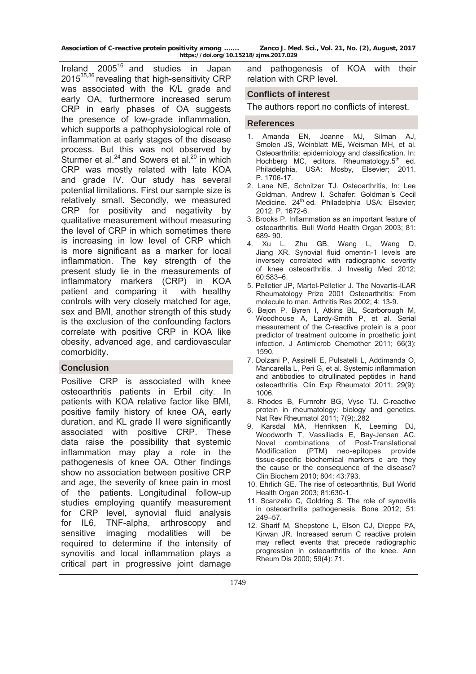Ireland  $2005^{16}$  and studies in Japan 2015<sup>35,36</sup> revealing that high-sensitivity CRP was associated with the K/L grade and early OA, furthermore increased serum CRP in early phases of OA suggests the presence of low-grade inflammation, which supports a pathophysiological role of inflammation at early stages of the disease process. But this was not observed by Sturmer et al. $^{24}$  and Sowers et al. $^{20}$  in which CRP was mostly related with late KOA and grade IV. Our study has several potential limitations. First our sample size is relatively small. Secondly, we measured CRP for positivity and negativity by qualitative measurement without measuring the level of CRP in which sometimes there is increasing in low level of CRP which is more significant as a marker for local inflammation. The key strength of the present study lie in the measurements of inflammatory markers (CRP) in KOA patient and comparing it with healthy controls with very closely matched for age, sex and BMI, another strength of this study is the exclusion of the confounding factors correlate with positive CRP in KOA like obesity, advanced age, and cardiovascular comorbidity.

# **Conclusion**

Positive CRP is associated with knee osteoarthritis patients in Erbil city. In patients with KOA relative factor like BMI, positive family history of knee OA, early duration, and KL grade II were significantly associated with positive CRP. These data raise the possibility that systemic inflammation may play a role in the pathogenesis of knee OA. Other findings show no association between positive CRP and age, the severity of knee pain in most of the patients. Longitudinal follow-up studies employing quantify measurement for CRP level, synovial fluid analysis for IL6, TNF-alpha, arthroscopy and sensitive imaging modalities will be required to determine if the intensity of synovitis and local inflammation plays a critical part in progressive joint damage

and pathogenesis of KOA with their relation with CRP level.

# **Conflicts of interest**

The authors report no conflicts of interest.

## **References**

- 1. Amanda EN, Joanne MJ, Silman AJ, Smolen JS, Weinblatt ME, Weisman MH, et al. Osteoarthritis: epidemiology and classification. In: Hochberg MC, editors. Rheumatology. $5<sup>th</sup>$  ed. Philadelphia, USA: Mosby, Elsevier; 2011. P. 1706-17.
- 2. Lane NE, Schnitzer TJ. Osteoarthritis, In: Lee Goldman, Andrew I. Schafer: Goldman ̓s Cecil Medicine. 24<sup>th</sup> ed. Philadelphia USA: Elsevier; 2012. P. 1672-6.
- 3. Brooks P. Inflammation as an important feature of osteoarthritis. Bull World Health Organ 2003; 81: 689- 90.
- 4. Xu L, Zhu GB, Wang L, Wang D, Jiang XR. Synovial fluid omentin-1 levels are inversely correlated with radiographic severity of knee osteoarthritis. J Investig Med 2012; 60:583–6.
- 5. Pelletier JP, Martel-Pelletier J. The Novartis-ILAR Rheumatology Prize 2001 Osteoarthritis: From molecule to man. Arthritis Res 2002; 4: 13-9.
- 6. Bejon P, Byren I, Atkins BL, Scarborough M, Woodhouse A, Lardy-Smith P, et al. Serial measurement of the C-reactive protein is a poor predictor of treatment outcome in prosthetic joint infection. J Antimicrob Chemother 2011; 66(3): 1590.
- 7. Dolzani P, Assirelli E, Pulsatelli L, Addimanda O, Mancarella L, Peri G, et al. Systemic inflammation and antibodies to citrullinated peptides in hand osteoarthritis. Clin Exp Rheumatol 2011; 29(9): 1006.
- 8. Rhodes B, Furnrohr BG, Vyse TJ. C-reactive protein in rheumatology: biology and genetics. Nat Rev Rheumatol 2011; 7(9): . 282
- 9. Karsdal MA, Henriksen K, Leeming DJ, Woodworth T, Vassiliadis E, Bay-Jensen AC. Novel combinations of Post-Translational Modification (PTM) neo-epitopes provide tissue-specific biochemical markers e are they the cause or the consequence of the disease? Clin Biochem 2010; 804: 43:793.
- 10. Ehrlich GE. The rise of osteoarthritis, Bull World Health Organ 2003; 81:630-1.
- 11. Scanzello C, Goldring S. The role of synovitis in osteoarthritis pathogenesis. Bone 2012; 51: 249–57.
- 12. Sharif M, Shepstone L, Elson CJ, Dieppe PA, Kirwan JR. Increased serum C reactive protein may reflect events that precede radiographic progression in osteoarthritis of the knee. Ann Rheum Dis 2000; 59(4): 71.